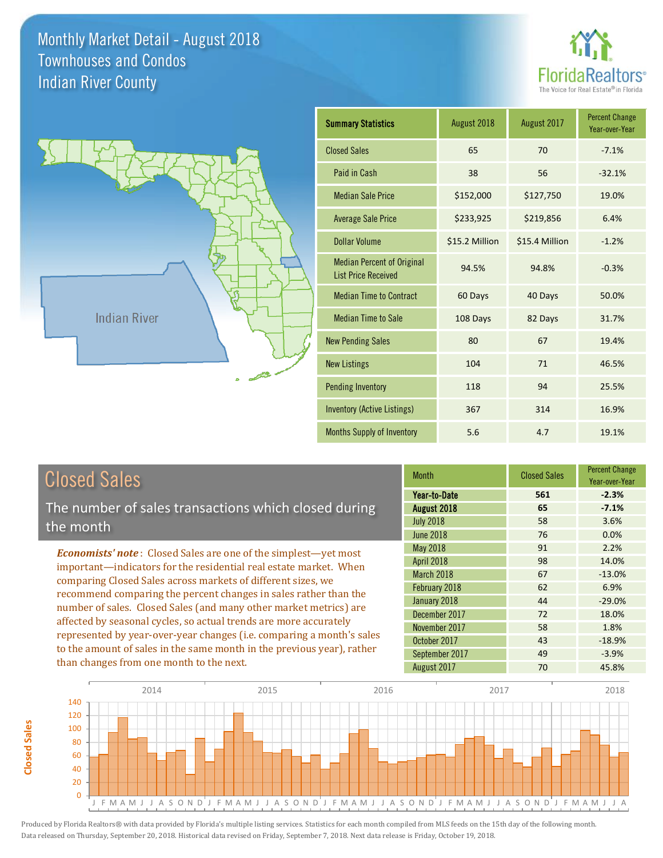

Year-over-Year

31.7%

Percent Change



| <b>Closed Sales</b>                                                                                                                    | <b>Month</b>                                                        |  |
|----------------------------------------------------------------------------------------------------------------------------------------|---------------------------------------------------------------------|--|
| The number of sales transactions which closed during<br>the month                                                                      | Year-to-Date<br>August 2018<br><b>July 2018</b><br><b>June 2018</b> |  |
| <b>Economists' note:</b> Closed Sales are one of the simplest—yet most                                                                 | May 2018<br><b>April 2018</b>                                       |  |
| important—indicators for the residential real estate market. When<br>comparing Closed Sales across markets of different sizes, we      | March 2018                                                          |  |
| recommend comparing the percent changes in sales rather than the                                                                       | February 2018<br>January 2018                                       |  |
| number of sales. Closed Sales (and many other market metrics) are<br>affected by seasonal cycles, so actual trends are more accurately | December 2017                                                       |  |
|                                                                                                                                        | November 2017                                                       |  |

represented by year-over-year changes (i.e. comparing a month's sales to the amount of sales in the same month in the previous year), rather than changes from one month to the next.

|                   | uivuu uuivu | Year-over-Year |
|-------------------|-------------|----------------|
| Year-to-Date      | 561         | $-2.3%$        |
| August 2018       | 65          | $-7.1%$        |
| <b>July 2018</b>  | 58          | 3.6%           |
| <b>June 2018</b>  | 76          | 0.0%           |
| <b>May 2018</b>   | 91          | 2.2%           |
| <b>April 2018</b> | 98          | 14.0%          |
| March 2018        | 67          | $-13.0%$       |
| February 2018     | 62          | 6.9%           |
| January 2018      | 44          | $-29.0%$       |
| December 2017     | 72          | 18.0%          |
| November 2017     | 58          | 1.8%           |
| October 2017      | 43          | $-18.9%$       |
| September 2017    | 49          | $-3.9%$        |
| August 2017       | 70          | 45.8%          |

Closed Sales



**Closed Sales**

**Closed Sales**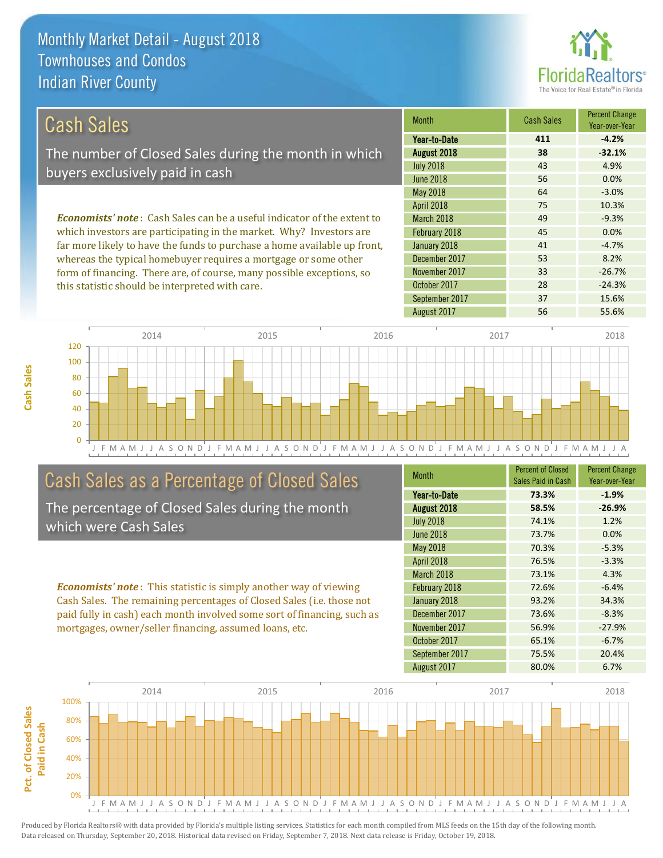

| Cash Sales                                                                      | <b>Month</b>      | <b>Cash Sales</b> | <b>Percent Change</b><br>Year-over-Year |
|---------------------------------------------------------------------------------|-------------------|-------------------|-----------------------------------------|
|                                                                                 | Year-to-Date      | 411               | $-4.2%$                                 |
| The number of Closed Sales during the month in which                            | August 2018       | 38                | $-32.1%$                                |
| buyers exclusively paid in cash                                                 | <b>July 2018</b>  | 43                | 4.9%                                    |
|                                                                                 | June 2018         | 56                | 0.0%                                    |
|                                                                                 | May 2018          | 64                | $-3.0%$                                 |
|                                                                                 | <b>April 2018</b> | 75                | 10.3%                                   |
| <b>Economists' note</b> : Cash Sales can be a useful indicator of the extent to | <b>March 2018</b> | 49                | $-9.3%$                                 |
| which investors are participating in the market. Why? Investors are             | February 2018     | 45                | 0.0%                                    |
| far more likely to have the funds to purchase a home available up front,        | January 2018      | 41                | $-4.7%$                                 |
| whereas the typical homebuyer requires a mortgage or some other                 | December 2017     | 53                | 8.2%                                    |

form of financing. There are, of course, many possible exceptions, so this statistic should be interpreted with care.





# Cash Sales as a Percentage of Closed Sales

The percentage of Closed Sales during the month which were Cash Sales

*Economists' note* : This statistic is simply another way of viewing Cash Sales. The remaining percentages of Closed Sales (i.e. those not paid fully in cash) each month involved some sort of financing, such as mortgages, owner/seller financing, assumed loans, etc.

| <b>Month</b>     | <b>Percent of Closed</b><br>Sales Paid in Cash | <b>Percent Change</b><br>Year-over-Year |
|------------------|------------------------------------------------|-----------------------------------------|
| Year-to-Date     | 73.3%                                          | $-1.9%$                                 |
| August 2018      | 58.5%                                          | $-26.9%$                                |
| <b>July 2018</b> | 74.1%                                          | 1.2%                                    |
| <b>June 2018</b> | 73.7%                                          | 0.0%                                    |
| May 2018         | 70.3%                                          | $-5.3%$                                 |
| April 2018       | 76.5%                                          | $-3.3%$                                 |
| March 2018       | 73.1%                                          | 4.3%                                    |
| February 2018    | 72.6%                                          | $-6.4%$                                 |
| January 2018     | 93.2%                                          | 34.3%                                   |
| December 2017    | 73.6%                                          | $-8.3%$                                 |
| November 2017    | 56.9%                                          | $-27.9%$                                |
| October 2017     | 65.1%                                          | $-6.7%$                                 |
| September 2017   | 75.5%                                          | 20.4%                                   |
| August 2017      | 80.0%                                          | 6.7%                                    |

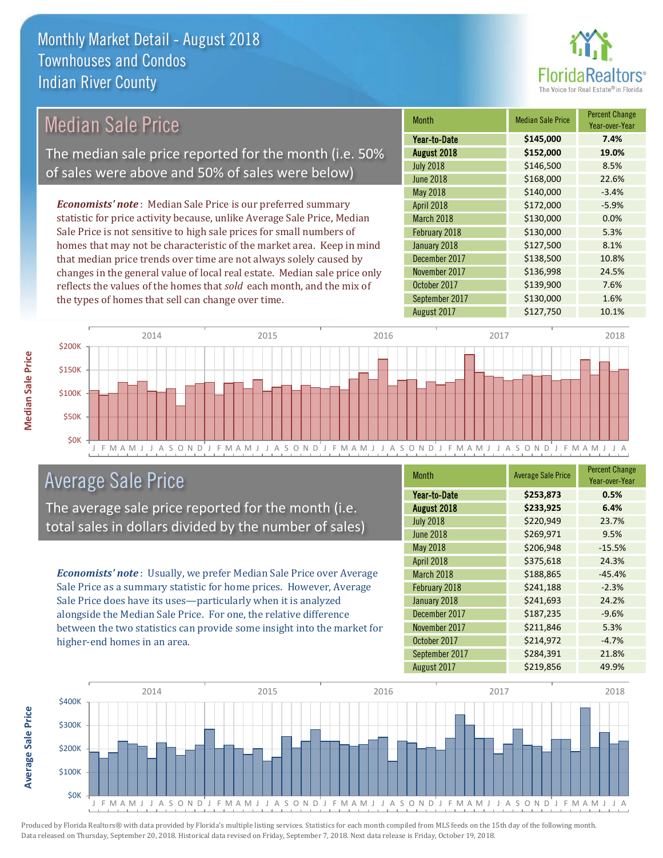

| <b>Median Sale Price</b>                                              |                                                                           | <b>Month</b> | <b>Median Sale Price</b> | Percent Change<br>Year-over-Year |           |         |
|-----------------------------------------------------------------------|---------------------------------------------------------------------------|--------------|--------------------------|----------------------------------|-----------|---------|
|                                                                       |                                                                           |              |                          | Year-to-Date                     | \$145,000 | 7.4%    |
|                                                                       | The median sale price reported for the month (i.e. 50%                    |              |                          | August 2018                      | \$152,000 | 19.0%   |
|                                                                       | of sales were above and 50% of sales were below)                          |              |                          | <b>July 2018</b>                 | \$146,500 | 8.5%    |
|                                                                       |                                                                           |              |                          | <b>June 2018</b>                 | \$168,000 | 22.6%   |
|                                                                       |                                                                           |              |                          | May 2018                         | \$140,000 | $-3.4%$ |
|                                                                       | <b>Economists' note:</b> Median Sale Price is our preferred summary       |              |                          | <b>April 2018</b>                | \$172,000 | $-5.9%$ |
|                                                                       | statistic for price activity because, unlike Average Sale Price, Median   |              |                          | March 2018                       | \$130,000 | 0.0%    |
|                                                                       | Sale Price is not sensitive to high sale prices for small numbers of      |              |                          | February 2018                    | \$130,000 | 5.3%    |
| homes that may not be characteristic of the market area. Keep in mind |                                                                           | January 2018 | \$127,500                | 8.1%                             |           |         |
|                                                                       | that median price trends over time are not always solely caused by        |              |                          | December 2017                    | \$138,500 | 10.8%   |
|                                                                       | changes in the general value of local real estate. Median sale price only |              |                          | November 2017                    | \$136,998 | 24.5%   |
|                                                                       | reflects the values of the homes that sold each month, and the mix of     |              |                          | October 2017                     | \$139,900 | 7.6%    |
|                                                                       | the types of homes that sell can change over time.                        |              |                          | September 2017                   | \$130,000 | 1.6%    |
|                                                                       |                                                                           |              |                          | August 2017                      | \$127,750 | 10.1%   |
|                                                                       | 2014                                                                      | 2015         | 2016                     |                                  | 2017      | 2018    |
| \$200K<br>$C$ <sub>4</sub> $E$ $N$                                    |                                                                           |              |                          |                                  |           |         |



# Average Sale Price

The average sale price reported for the month (i.e. total sales in dollars divided by the number of sales)

*Economists' note* : Usually, we prefer Median Sale Price over Average Sale Price as a summary statistic for home prices. However, Average Sale Price does have its uses—particularly when it is analyzed alongside the Median Sale Price. For one, the relative difference between the two statistics can provide some insight into the market for higher-end homes in an area.

| <b>Month</b>     | <b>Average Sale Price</b> | <b>Percent Change</b><br>Year-over-Year |
|------------------|---------------------------|-----------------------------------------|
| Year-to-Date     | \$253,873                 | 0.5%                                    |
| August 2018      | \$233,925                 | 6.4%                                    |
| <b>July 2018</b> | \$220,949                 | 23.7%                                   |
| <b>June 2018</b> | \$269,971                 | 9.5%                                    |
| May 2018         | \$206,948                 | $-15.5%$                                |
| April 2018       | \$375,618                 | 24.3%                                   |
| March 2018       | \$188,865                 | $-45.4%$                                |
| February 2018    | \$241,188                 | $-2.3%$                                 |
| January 2018     | \$241,693                 | 24.2%                                   |
| December 2017    | \$187,235                 | $-9.6%$                                 |
| November 2017    | \$211,846                 | 5.3%                                    |
| October 2017     | \$214,972                 | $-4.7%$                                 |
| September 2017   | \$284,391                 | 21.8%                                   |
| August 2017      | \$219,856                 | 49.9%                                   |



Produced by Florida Realtors® with data provided by Florida's multiple listing services. Statistics for each month compiled from MLS feeds on the 15th day of the following month. Data released on Thursday, September 20, 2018. Historical data revised on Friday, September 7, 2018. Next data release is Friday, October 19, 2018.

**Average Sale Price**

**Average Sale Price**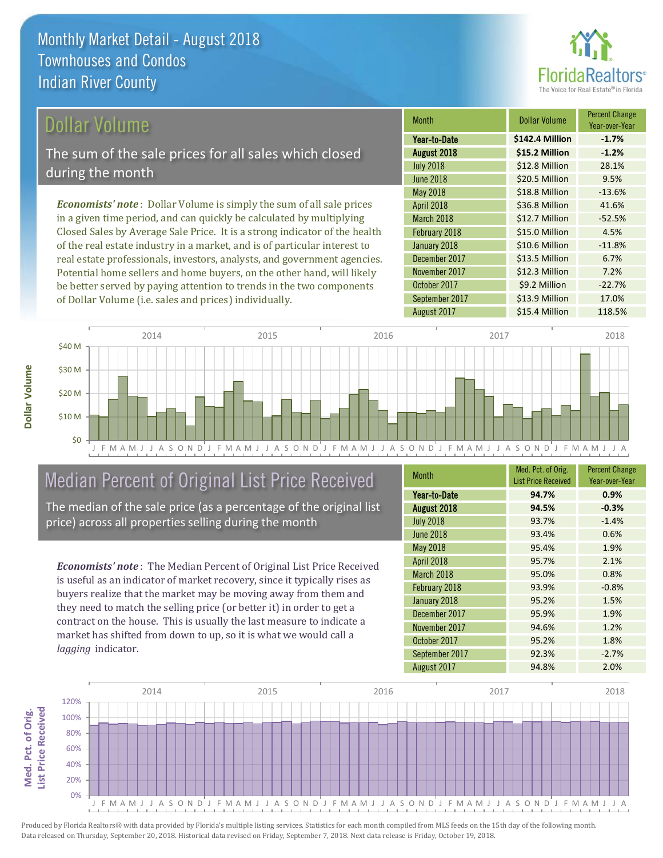

### Dollar Volume

The sum of the sale prices for all sales which closed during the month

*Economists' note* : Dollar Volume is simply the sum of all sale prices in a given time period, and can quickly be calculated by multiplying Closed Sales by Average Sale Price. It is a strong indicator of the health of the real estate industry in a market, and is of particular interest to real estate professionals, investors, analysts, and government agencies. Potential home sellers and home buyers, on the other hand, will likely be better served by paying attention to trends in the two components of Dollar Volume (i.e. sales and prices) individually.

| <b>Month</b>     | Dollar Volume   | <b>Percent Change</b><br>Year-over-Year |
|------------------|-----------------|-----------------------------------------|
| Year-to-Date     | \$142.4 Million | $-1.7%$                                 |
| August 2018      | \$15.2 Million  | $-1.2%$                                 |
| <b>July 2018</b> | \$12.8 Million  | 28.1%                                   |
| <b>June 2018</b> | \$20.5 Million  | 9.5%                                    |
| <b>May 2018</b>  | \$18.8 Million  | $-13.6%$                                |
| April 2018       | \$36.8 Million  | 41.6%                                   |
| March 2018       | \$12.7 Million  | $-52.5%$                                |
| February 2018    | \$15.0 Million  | 4.5%                                    |
| January 2018     | \$10.6 Million  | $-11.8%$                                |
| December 2017    | \$13.5 Million  | 6.7%                                    |
| November 2017    | \$12.3 Million  | 7.2%                                    |
| October 2017     | \$9.2 Million   | $-22.7%$                                |
| September 2017   | \$13.9 Million  | 17.0%                                   |
| August 2017      | \$15.4 Million  | 118.5%                                  |



# Median Percent of Original List Price Received

The median of the sale price (as a percentage of the original list price) across all properties selling during the month

*Economists' note* : The Median Percent of Original List Price Received is useful as an indicator of market recovery, since it typically rises as buyers realize that the market may be moving away from them and they need to match the selling price (or better it) in order to get a contract on the house. This is usually the last measure to indicate a market has shifted from down to up, so it is what we would call a *lagging* indicator.

| <b>Month</b>     | Med. Pct. of Orig.         | <b>Percent Change</b> |
|------------------|----------------------------|-----------------------|
|                  | <b>List Price Received</b> | Year-over-Year        |
| Year-to-Date     | 94.7%                      | 0.9%                  |
| August 2018      | 94.5%                      | $-0.3%$               |
| <b>July 2018</b> | 93.7%                      | $-1.4%$               |
| <b>June 2018</b> | 93.4%                      | 0.6%                  |
| May 2018         | 95.4%                      | 1.9%                  |
| April 2018       | 95.7%                      | 2.1%                  |
| March 2018       | 95.0%                      | 0.8%                  |
| February 2018    | 93.9%                      | $-0.8%$               |
| January 2018     | 95.2%                      | 1.5%                  |
| December 2017    | 95.9%                      | 1.9%                  |
| November 2017    | 94.6%                      | 1.2%                  |
| October 2017     | 95.2%                      | 1.8%                  |
| September 2017   | 92.3%                      | $-2.7%$               |
| August 2017      | 94.8%                      | 2.0%                  |

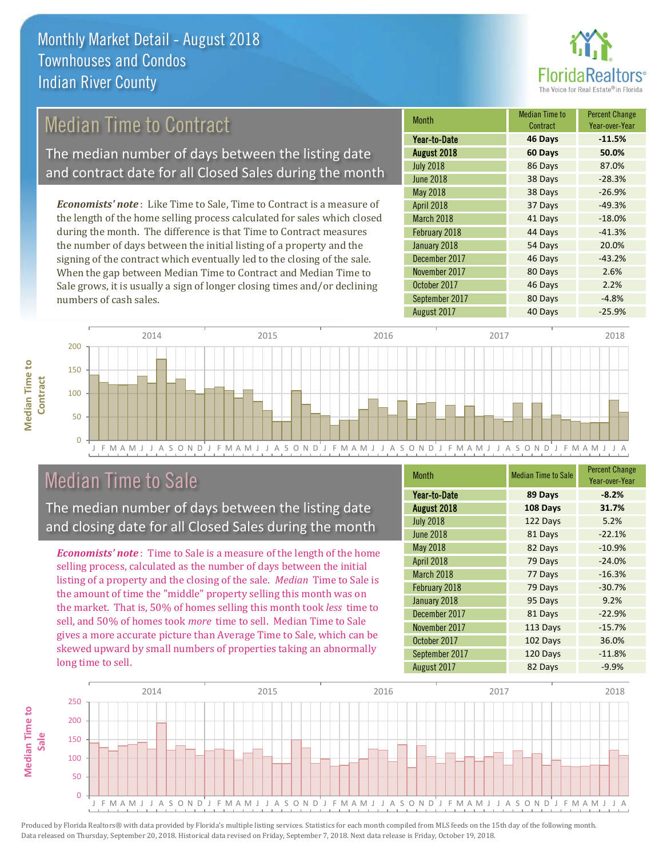

# Median Time to Contract

The median number of days between the listing date and contract date for all Closed Sales during the month

*Economists' note* : Like Time to Sale, Time to Contract is a measure of the length of the home selling process calculated for sales which closed during the month. The difference is that Time to Contract measures the number of days between the initial listing of a property and the signing of the contract which eventually led to the closing of the sale. When the gap between Median Time to Contract and Median Time to Sale grows, it is usually a sign of longer closing times and/or declining numbers of cash sales.

| <b>Month</b>     | <b>Median Time to</b><br>Contract | <b>Percent Change</b><br>Year-over-Year |
|------------------|-----------------------------------|-----------------------------------------|
| Year-to-Date     | 46 Days                           | $-11.5%$                                |
| August 2018      | 60 Days                           | 50.0%                                   |
| <b>July 2018</b> | 86 Days                           | 87.0%                                   |
| <b>June 2018</b> | 38 Days                           | $-28.3%$                                |
| <b>May 2018</b>  | 38 Days                           | $-26.9%$                                |
| April 2018       | 37 Days                           | $-49.3%$                                |
| March 2018       | 41 Days                           | $-18.0%$                                |
| February 2018    | 44 Days                           | $-41.3%$                                |
| January 2018     | 54 Days                           | 20.0%                                   |
| December 2017    | 46 Days                           | $-43.2%$                                |
| November 2017    | 80 Days                           | 2.6%                                    |
| October 2017     | 46 Days                           | 2.2%                                    |
| September 2017   | 80 Days                           | $-4.8%$                                 |
| August 2017      | 40 Days                           | $-25.9%$                                |



### Median Time to Sale

**Median Time to** 

**Median Time to** 

The median number of days between the listing date and closing date for all Closed Sales during the month

*Economists' note* : Time to Sale is a measure of the length of the home selling process, calculated as the number of days between the initial listing of a property and the closing of the sale. *Median* Time to Sale is the amount of time the "middle" property selling this month was on the market. That is, 50% of homes selling this month took *less* time to sell, and 50% of homes took *more* time to sell. Median Time to Sale gives a more accurate picture than Average Time to Sale, which can be skewed upward by small numbers of properties taking an abnormally long time to sell.

| <b>Month</b>     | <b>Median Time to Sale</b> | <b>Percent Change</b><br>Year-over-Year |
|------------------|----------------------------|-----------------------------------------|
| Year-to-Date     | 89 Days                    | $-8.2%$                                 |
| August 2018      | 108 Days                   | 31.7%                                   |
| <b>July 2018</b> | 122 Days                   | 5.2%                                    |
| <b>June 2018</b> | 81 Days                    | $-22.1%$                                |
| May 2018         | 82 Days                    | $-10.9%$                                |
| April 2018       | 79 Days                    | $-24.0%$                                |
| March 2018       | 77 Days                    | $-16.3%$                                |
| February 2018    | 79 Days                    | $-30.7%$                                |
| January 2018     | 95 Days                    | 9.2%                                    |
| December 2017    | 81 Days                    | $-22.9%$                                |
| November 2017    | 113 Days                   | $-15.7%$                                |
| October 2017     | 102 Days                   | 36.0%                                   |
| September 2017   | 120 Days                   | $-11.8%$                                |
| August 2017      | 82 Days                    | $-9.9%$                                 |

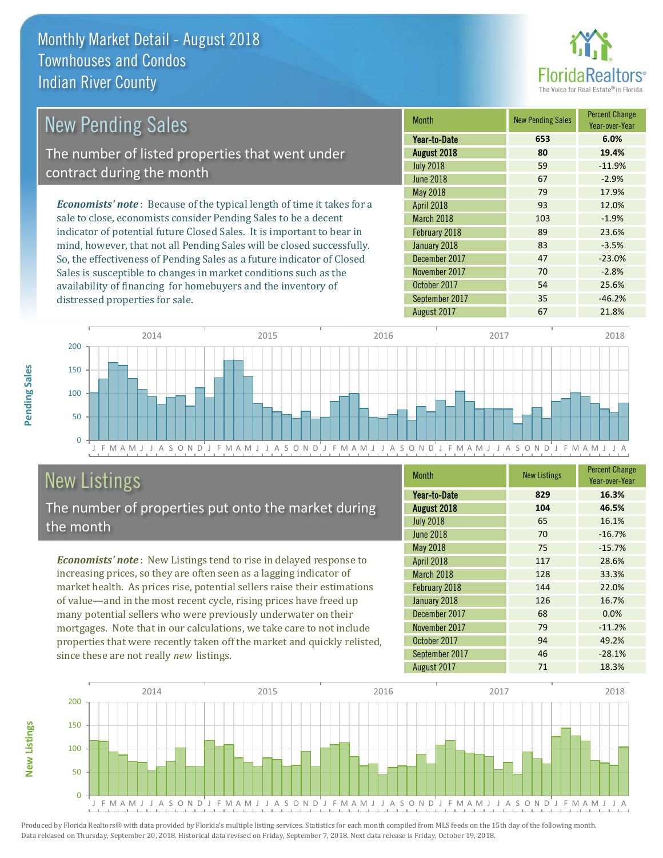

| <b>New Pending Sales</b>                                                       | <b>Month</b>      | <b>New Pending Sales</b> | <b>Percent Change</b><br>Year-over-Year |
|--------------------------------------------------------------------------------|-------------------|--------------------------|-----------------------------------------|
|                                                                                | Year-to-Date      | 653                      | 6.0%                                    |
| The number of listed properties that went under                                | August 2018       | 80                       | 19.4%                                   |
| contract during the month                                                      | <b>July 2018</b>  | 59                       | $-11.9%$                                |
|                                                                                | June 2018         | 67                       | $-2.9%$                                 |
|                                                                                | May 2018          | 79                       | 17.9%                                   |
| <b>Economists' note</b> : Because of the typical length of time it takes for a | <b>April 2018</b> | 93                       | 12.0%                                   |
| sale to close, economists consider Pending Sales to be a decent                | <b>March 2018</b> | 103                      | $-1.9%$                                 |
| indicator of potential future Closed Sales. It is important to bear in         | February 2018     | 89                       | 23.6%                                   |
| mind, however, that not all Pending Sales will be closed successfully.         | January 2018      | 83                       | $-3.5%$                                 |
| So, the effectiveness of Pending Sales as a future indicator of Closed         | December 2017     | 47                       | $-23.0%$                                |
| Sales is susceptible to changes in market conditions such as the               | November 2017     | 70                       | $-2.8%$                                 |



# New Listings

**New Listings**

**Pending Sales**

Pending Sales

distressed properties for sale.

The number of properties put onto the market during the month

availability of financing for homebuyers and the inventory of

*Economists' note* : New Listings tend to rise in delayed response to increasing prices, so they are often seen as a lagging indicator of market health. As prices rise, potential sellers raise their estimations of value—and in the most recent cycle, rising prices have freed up many potential sellers who were previously underwater on their mortgages. Note that in our calculations, we take care to not include properties that were recently taken off the market and quickly relisted, since these are not really *new* listings.

| <b>Month</b>     | <b>New Listings</b> | <b>Percent Change</b><br>Year-over-Year |
|------------------|---------------------|-----------------------------------------|
| Year-to-Date     | 829                 | 16.3%                                   |
| August 2018      | 104                 | 46.5%                                   |
| <b>July 2018</b> | 65                  | 16.1%                                   |
| <b>June 2018</b> | 70                  | $-16.7%$                                |
| <b>May 2018</b>  | 75                  | $-15.7%$                                |
| April 2018       | 117                 | 28.6%                                   |
| March 2018       | 128                 | 33.3%                                   |
| February 2018    | 144                 | 22.0%                                   |
| January 2018     | 126                 | 16.7%                                   |
| December 2017    | 68                  | 0.0%                                    |
| November 2017    | 79                  | $-11.2%$                                |
| October 2017     | 94                  | 49.2%                                   |
| September 2017   | 46                  | $-28.1%$                                |
| August 2017      | 71                  | 18.3%                                   |

October 2017 **54** 25.6% September 2017 35 -46.2%

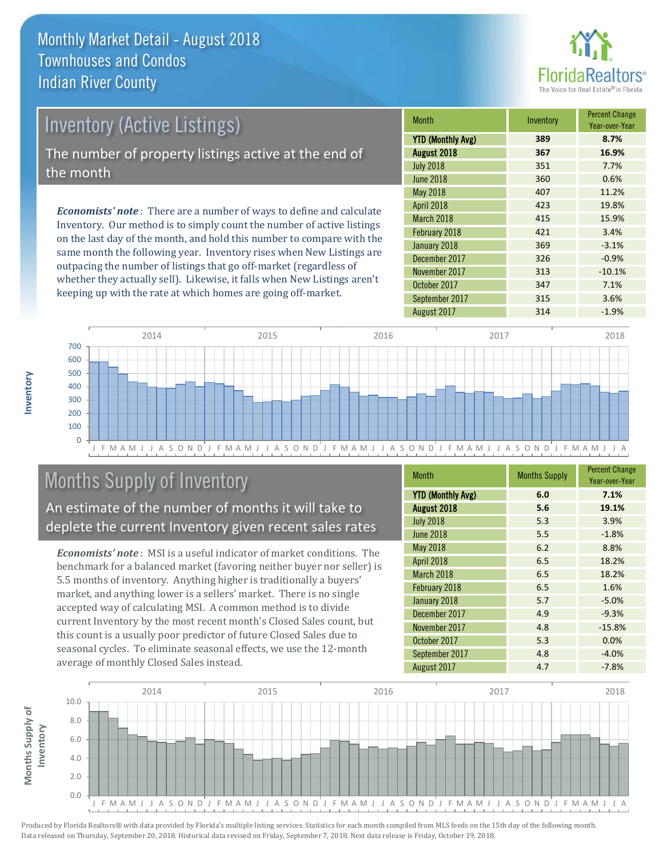

# Inventory (Active Listings) The number of property listings active at the end of the month

*Economists' note* : There are a number of ways to define and calculate Inventory. Our method is to simply count the number of active listings on the last day of the month, and hold this number to compare with the same month the following year. Inventory rises when New Listings are outpacing the number of listings that go off-market (regardless of whether they actually sell). Likewise, it falls when New Listings aren't keeping up with the rate at which homes are going off-market.

| <b>Month</b>             | Inventory | <b>Percent Change</b><br>Year-over-Year |
|--------------------------|-----------|-----------------------------------------|
| <b>YTD (Monthly Avg)</b> | 389       | 8.7%                                    |
| August 2018              | 367       | 16.9%                                   |
| <b>July 2018</b>         | 351       | 7.7%                                    |
| <b>June 2018</b>         | 360       | 0.6%                                    |
| <b>May 2018</b>          | 407       | 11.2%                                   |
| April 2018               | 423       | 19.8%                                   |
| March 2018               | 415       | 15.9%                                   |
| February 2018            | 421       | 3.4%                                    |
| January 2018             | 369       | $-3.1%$                                 |
| December 2017            | 326       | $-0.9%$                                 |
| November 2017            | 313       | $-10.1%$                                |
| October 2017             | 347       | 7.1%                                    |
| September 2017           | 315       | 3.6%                                    |
| August 2017              | 314       | $-1.9%$                                 |



# Months Supply of Inventory

An estimate of the number of months it will take to deplete the current Inventory given recent sales rates

*Economists' note* : MSI is a useful indicator of market conditions. The benchmark for a balanced market (favoring neither buyer nor seller) is 5.5 months of inventory. Anything higher is traditionally a buyers' market, and anything lower is a sellers' market. There is no single accepted way of calculating MSI. A common method is to divide current Inventory by the most recent month's Closed Sales count, but this count is a usually poor predictor of future Closed Sales due to seasonal cycles. To eliminate seasonal effects, we use the 12-month average of monthly Closed Sales instead.

| <b>Month</b>             | <b>Months Supply</b> | <b>Percent Change</b><br>Year-over-Year |
|--------------------------|----------------------|-----------------------------------------|
| <b>YTD (Monthly Avg)</b> | 6.0                  | 7.1%                                    |
| August 2018              | 5.6                  | 19.1%                                   |
| <b>July 2018</b>         | 5.3                  | 3.9%                                    |
| <b>June 2018</b>         | 5.5                  | $-1.8%$                                 |
| May 2018                 | 6.2                  | 8.8%                                    |
| April 2018               | 6.5                  | 18.2%                                   |
| March 2018               | 6.5                  | 18.2%                                   |
| February 2018            | 6.5                  | 1.6%                                    |
| January 2018             | 5.7                  | $-5.0%$                                 |
| December 2017            | 4.9                  | $-9.3%$                                 |
| November 2017            | 4.8                  | $-15.8%$                                |
| October 2017             | 5.3                  | 0.0%                                    |
| September 2017           | 4.8                  | $-4.0%$                                 |
| August 2017              | 4.7                  | $-7.8%$                                 |

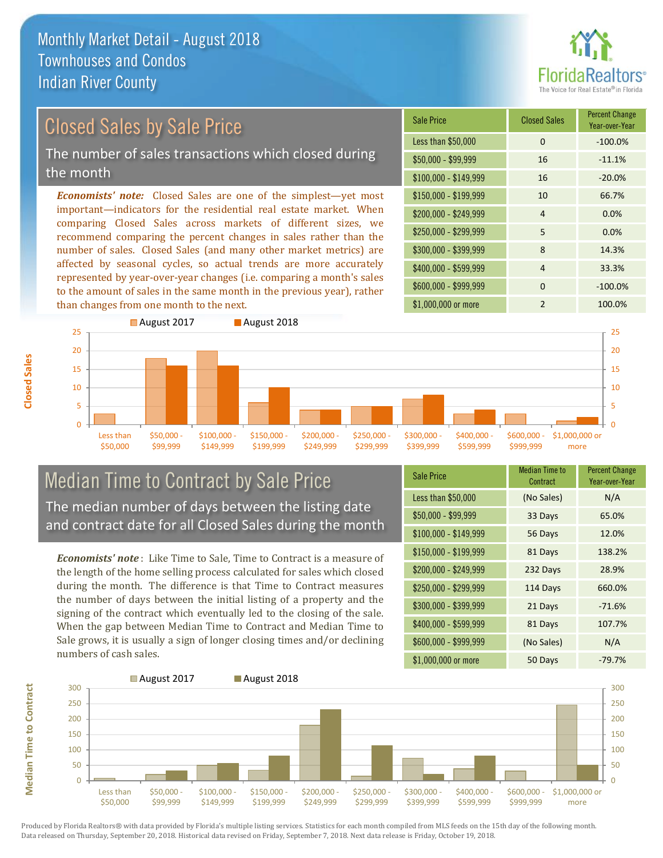

# Closed Sales by Sale Price

The number of sales transactions which closed during the month

*Economists' note:* Closed Sales are one of the simplest—yet most important—indicators for the residential real estate market. When comparing Closed Sales across markets of different sizes, we recommend comparing the percent changes in sales rather than the number of sales. Closed Sales (and many other market metrics) are affected by seasonal cycles, so actual trends are more accurately represented by year-over-year changes (i.e. comparing a month's sales to the amount of sales in the same month in the previous year), rather than changes from one month to the next.

| <b>Sale Price</b>     | <b>Closed Sales</b> | <b>Percent Change</b><br>Year-over-Year |
|-----------------------|---------------------|-----------------------------------------|
| Less than \$50,000    | 0                   | $-100.0%$                               |
| $$50,000 - $99,999$   | 16                  | $-11.1%$                                |
| $$100,000 - $149,999$ | 16                  | $-20.0%$                                |
| $$150,000 - $199,999$ | 10                  | 66.7%                                   |
| \$200,000 - \$249,999 | 4                   | 0.0%                                    |
| \$250,000 - \$299,999 | 5                   | 0.0%                                    |
| \$300,000 - \$399,999 | 8                   | 14.3%                                   |
| \$400,000 - \$599,999 | 4                   | 33.3%                                   |
| \$600,000 - \$999,999 | $\Omega$            | $-100.0%$                               |
| \$1,000,000 or more   | $\mathfrak{p}$      | 100.0%                                  |



### Median Time to Contract by Sale Price The median number of days between the listing date and contract date for all Closed Sales during the month

*Economists' note* : Like Time to Sale, Time to Contract is a measure of the length of the home selling process calculated for sales which closed during the month. The difference is that Time to Contract measures the number of days between the initial listing of a property and the signing of the contract which eventually led to the closing of the sale. When the gap between Median Time to Contract and Median Time to Sale grows, it is usually a sign of longer closing times and/or declining numbers of cash sales.

| <b>Sale Price</b>     | <b>Median Time to</b><br>Contract | <b>Percent Change</b><br>Year-over-Year |
|-----------------------|-----------------------------------|-----------------------------------------|
| Less than \$50,000    | (No Sales)                        | N/A                                     |
| $$50,000 - $99,999$   | 33 Days                           | 65.0%                                   |
| $$100,000 - $149,999$ | 56 Days                           | 12.0%                                   |
| $$150,000 - $199,999$ | 81 Days                           | 138.2%                                  |
| \$200,000 - \$249,999 | 232 Days                          | 28.9%                                   |
| \$250,000 - \$299,999 | 114 Days                          | 660.0%                                  |
| \$300,000 - \$399,999 | 21 Days                           | $-71.6%$                                |
| \$400,000 - \$599,999 | 81 Days                           | 107.7%                                  |
| \$600,000 - \$999,999 | (No Sales)                        | N/A                                     |
| \$1,000,000 or more   | 50 Days                           | $-79.7%$                                |



Produced by Florida Realtors® with data provided by Florida's multiple listing services. Statistics for each month compiled from MLS feeds on the 15th day of the following month. Data released on Thursday, September 20, 2018. Historical data revised on Friday, September 7, 2018. Next data release is Friday, October 19, 2018.

**Median Time to Contract**

**Median Time to Contract**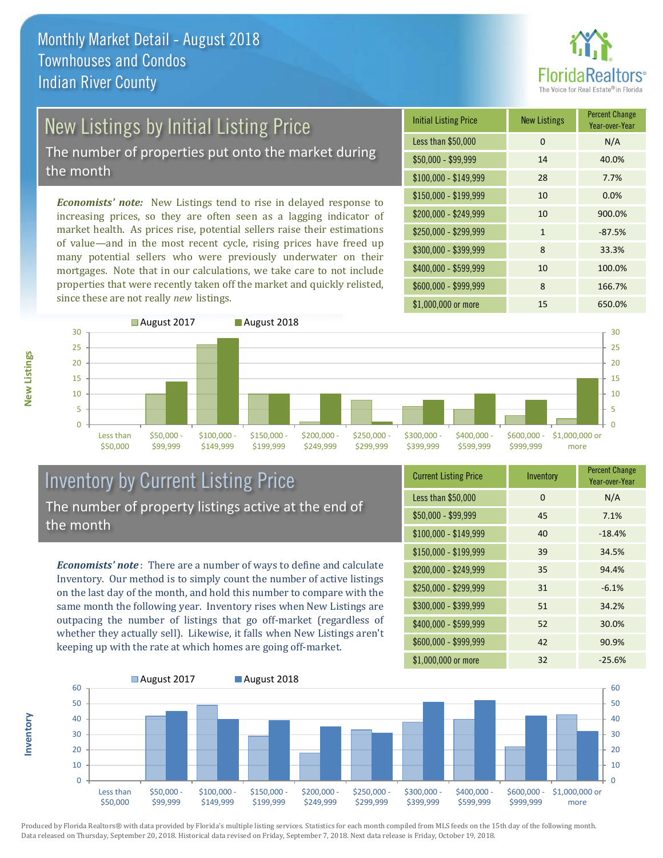

# New Listings by Initial Listing Price

The number of properties put onto the market during the month

*Economists' note:* New Listings tend to rise in delayed response to increasing prices, so they are often seen as a lagging indicator of market health. As prices rise, potential sellers raise their estimations of value—and in the most recent cycle, rising prices have freed up many potential sellers who were previously underwater on their mortgages. Note that in our calculations, we take care to not include properties that were recently taken off the market and quickly relisted, since these are not really *new* listings.

| <b>Initial Listing Price</b> | <b>New Listings</b> | <b>Percent Change</b><br>Year-over-Year |
|------------------------------|---------------------|-----------------------------------------|
| Less than \$50,000           | $\Omega$            | N/A                                     |
| \$50,000 - \$99,999          | 14                  | 40.0%                                   |
| $$100,000 - $149,999$        | 28                  | 7.7%                                    |
| $$150,000 - $199,999$        | 10                  | 0.0%                                    |
| \$200,000 - \$249,999        | 10                  | 900.0%                                  |
| \$250,000 - \$299,999        | 1                   | $-87.5%$                                |
| \$300,000 - \$399,999        | 8                   | 33.3%                                   |
| \$400,000 - \$599,999        | 10                  | 100.0%                                  |
| \$600,000 - \$999,999        | 8                   | 166.7%                                  |
| \$1,000,000 or more          | 15                  | 650.0%                                  |



### Inventory by Current Listing Price The number of property listings active at the end of the month

*Economists' note* : There are a number of ways to define and calculate Inventory. Our method is to simply count the number of active listings on the last day of the month, and hold this number to compare with the same month the following year. Inventory rises when New Listings are outpacing the number of listings that go off-market (regardless of whether they actually sell). Likewise, it falls when New Listings aren't keeping up with the rate at which homes are going off-market.

| <b>Current Listing Price</b> | Inventory | <b>Percent Change</b><br>Year-over-Year |
|------------------------------|-----------|-----------------------------------------|
| Less than \$50,000           | $\Omega$  | N/A                                     |
| \$50,000 - \$99,999          | 45        | 7.1%                                    |
| $$100,000 - $149,999$        | 40        | $-18.4%$                                |
| $$150,000 - $199,999$        | 39        | 34.5%                                   |
| \$200,000 - \$249,999        | 35        | 94.4%                                   |
| \$250,000 - \$299,999        | 31        | $-6.1%$                                 |
| \$300,000 - \$399,999        | 51        | 34.2%                                   |
| \$400,000 - \$599,999        | 52        | 30.0%                                   |
| \$600,000 - \$999,999        | 42        | 90.9%                                   |
| \$1,000,000 or more          | 32        | $-25.6%$                                |



Produced by Florida Realtors® with data provided by Florida's multiple listing services. Statistics for each month compiled from MLS feeds on the 15th day of the following month.

Data released on Thursday, September 20, 2018. Historical data revised on Friday, September 7, 2018. Next data release is Friday, October 19, 2018.

**New Listings**

**Inventory**